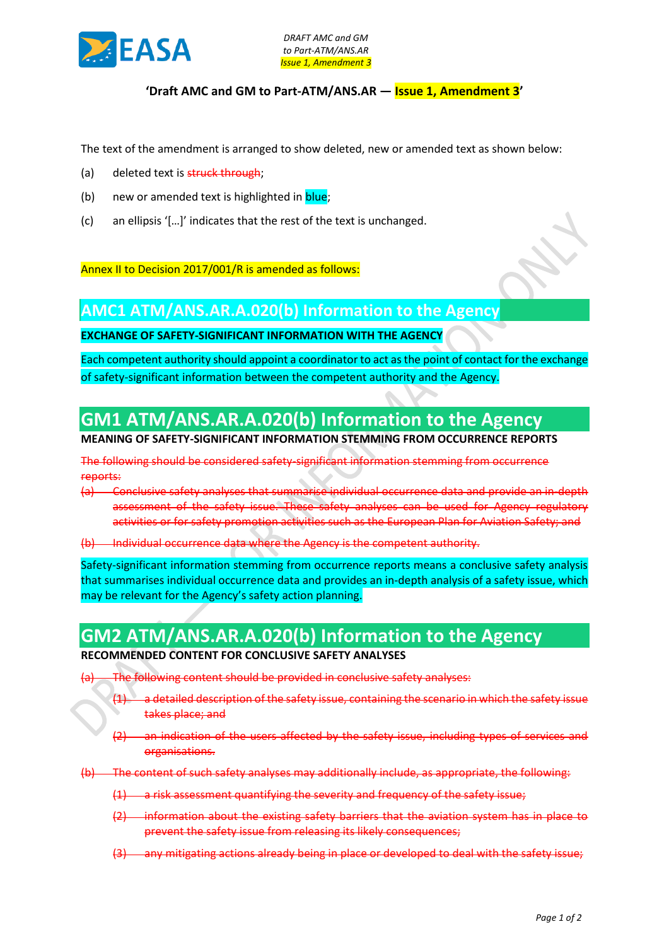

#### **'Draft AMC and GM to Part-ATM/ANS.AR — Issue 1, Amendment 3'**

The text of the amendment is arranged to show deleted, new or amended text as shown below:

- (a) deleted text is struck through;
- (b) new or amended text is highlighted in **blue**;
- (c) an ellipsis '[…]' indicates that the rest of the text is unchanged.

Annex II to Decision 2017/001/R is amended as follows:

#### **AMC1 ATM/ANS.AR.A.020(b) Information to the Agency**

**EXCHANGE OF SAFETY-SIGNIFICANT INFORMATION WITH THE AGENCY**

Each competent authority should appoint a coordinator to act as the point of contact for the exchange of safety-significant information between the competent authority and the Agency.

## **GM1 ATM/ANS.AR.A.020(b) Information to the Agency**

**MEANING OF SAFETY-SIGNIFICANT INFORMATION STEMMING FROM OCCURRENCE REPORTS**

The following should be considered safety-significant information stemming from occurrence reports:

- (a) Conclusive safety analyses that summarise individual occurrence data and provide an in-depth assessment of the safety issue. These safety analyses can be used for Agency regulatory activities or for safety promotion activities such as the European Plan for Aviation Safety; and
- (b) Individual occurrence data where the Agency is the competent authority.

Safety-significant information stemming from occurrence reports means a conclusive safety analysis that summarises individual occurrence data and provides an in-depth analysis of a safety issue, which may be relevant for the Agency's safety action planning.

# **GM2 ATM/ANS.AR.A.020(b) Information to the Agency**

#### **RECOMMENDED CONTENT FOR CONCLUSIVE SAFETY ANALYSES**

- The following content should be provided in conclusive safety analyses:
	- (1) a detailed description of the safety issue, containing the scenario in which the safety issue takes place; and
	- (2) an indication of the users affected by the safety issue, including types of services and organisations.
- (b) The content of such safety analyses may additionally include, as appropriate, the following:
	- (1) a risk assessment quantifying the severity and frequency of the safety issue;
	- (2) information about the existing safety barriers that the aviation system has in place to prevent the safety issue from releasing its likely consequences;
	- (3) any mitigating actions already being in place or developed to deal with the safety issue;